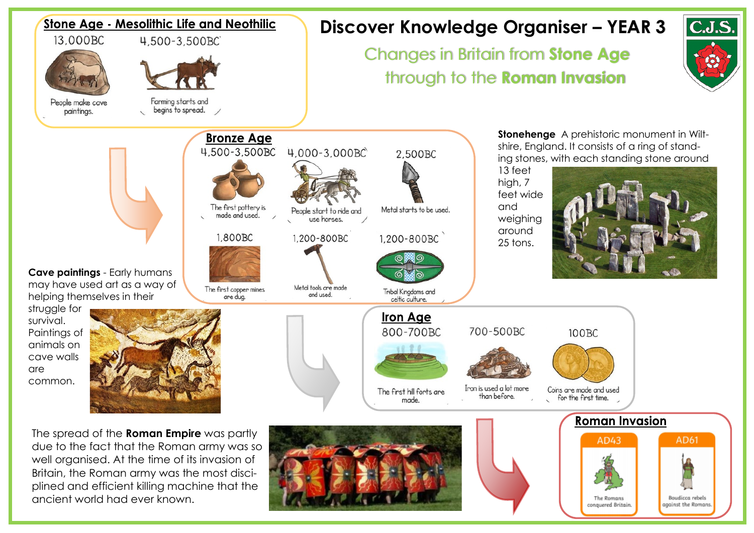

ancient world had ever known.



Boudicca rebels

against the Romans

The Romans conquered Britain.